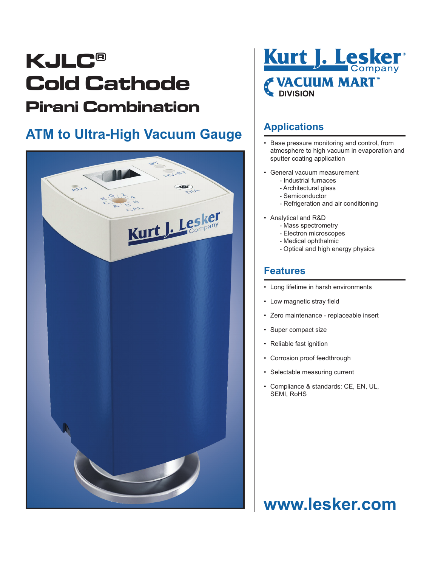# **KJLC® Cold Cathode Pirani Combination**

### **ATM to Ultra-High Vacuum Gauge**





#### **Applications**

- Base pressure monitoring and control, from atmosphere to high vacuum in evaporation and sputter coating application
- General vacuum measurement
	- Industrial furnaces
	- Architectural glass
	- Semiconductor
	- Refrigeration and air conditioning
- Analytical and R&D
	- Mass spectrometry
	- Electron microscopes
	- Medical ophthalmic
	- Optical and high energy physics

#### **Features**

- Long lifetime in harsh environments
- Low magnetic stray field
- Zero maintenance replaceable insert
- Super compact size
- Reliable fast ignition
- Corrosion proof feedthrough
- Selectable measuring current
- Compliance & standards: CE, EN, UL, SEMI, RoHS

## **www.lesker.com**